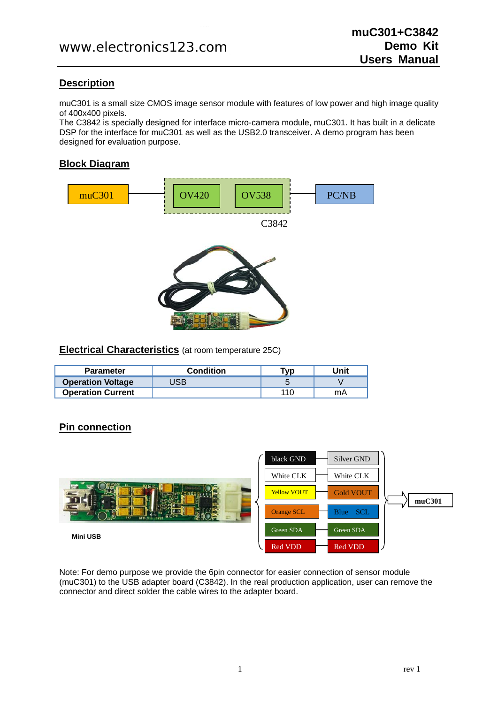# **Description**

muC301 is a small size CMOS image sensor module with features of low power and high image quality of 400x400 pixels.

The C3842 is specially designed for interface micro-camera module, muC301. It has built in a delicate DSP for the interface for muC301 as well as the USB2.0 transceiver. A demo program has been designed for evaluation purpose.

# **Block Diagram**



### **Electrical Characteristics** (at room temperature 25C)

| <b>Parameter</b>         | <b>Condition</b> | ™vp | Unit |
|--------------------------|------------------|-----|------|
| <b>Operation Voltage</b> | JSB              |     |      |
| <b>Operation Current</b> |                  | 110 | mA   |

# **Pin connection**



Note: For demo purpose we provide the 6pin connector for easier connection of sensor module (muC301) to the USB adapter board (C3842). In the real production application, user can remove the connector and direct solder the cable wires to the adapter board.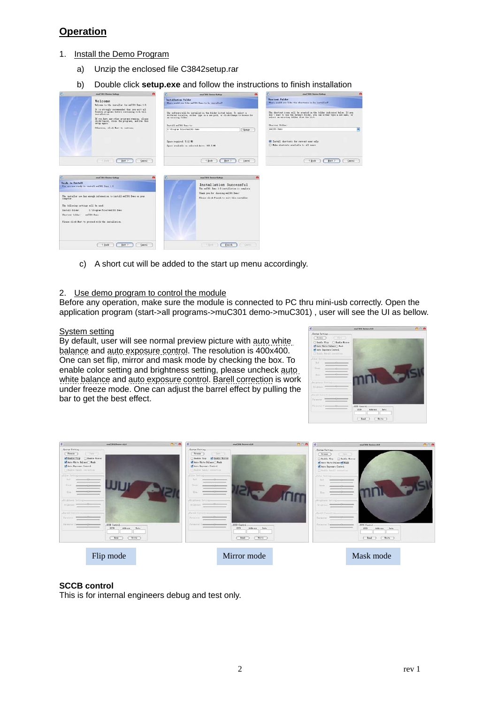### **Operation**

- 1. Install the Demo Program
	- a) Unzip the enclosed file C3842setup.rar
	- b) Double click **setup.exe** and follow the instructions to finish installation



c) A short cut will be added to the start up menu accordingly.

#### 2. Use demo program to control the module

Before any operation, make sure the module is connected to PC thru mini-usb correctly. Open the application program (start->all programs->muC301 demo->muC301) , user will see the UI as bellow.

#### System setting

By default, user will see normal preview picture with auto white balance and auto exposure control. The resolution is 400x400. One can set flip, mirror and mask mode by checking the box. To enable color setting and brightness setting, please uncheck auto white balance and auto exposure control. Barell correction is work under freeze mode. One can adjust the barrel effect by pulling the bar to get the best effect.





### **SCCB control**

This is for internal engineers debug and test only.